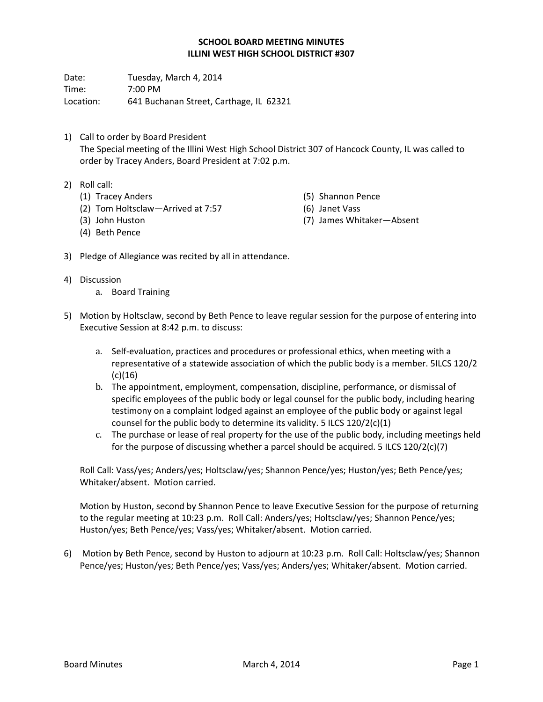## **SCHOOL BOARD MEETING MINUTES ILLINI WEST HIGH SCHOOL DISTRICT #307**

Date: Tuesday, March 4, 2014 Time: 7:00 PM Location: 641 Buchanan Street, Carthage, IL 62321

- 1) Call to order by Board President The Special meeting of the Illini West High School District 307 of Hancock County, IL was called to order by Tracey Anders, Board President at 7:02 p.m.
- 2) Roll call:
	- (1) Tracey Anders
	- (2) Tom Holtsclaw—Arrived at 7:57
- (5) Shannon Pence
- (6) Janet Vass
- 
- (3) John Huston (4) Beth Pence
- (7) James Whitaker—Absent
- 3) Pledge of Allegiance was recited by all in attendance.
- 4) Discussion
	- a. Board Training
- 5) Motion by Holtsclaw, second by Beth Pence to leave regular session for the purpose of entering into Executive Session at 8:42 p.m. to discuss:
	- a. Self-evaluation, practices and procedures or professional ethics, when meeting with a representative of a statewide association of which the public body is a member. 5ILCS 120/2  $(c)(16)$
	- b. The appointment, employment, compensation, discipline, performance, or dismissal of specific employees of the public body or legal counsel for the public body, including hearing testimony on a complaint lodged against an employee of the public body or against legal counsel for the public body to determine its validity. 5 ILCS 120/2(c)(1)
	- c. The purchase or lease of real property for the use of the public body, including meetings held for the purpose of discussing whether a parcel should be acquired. 5 ILCS  $120/2(c)(7)$

Roll Call: Vass/yes; Anders/yes; Holtsclaw/yes; Shannon Pence/yes; Huston/yes; Beth Pence/yes; Whitaker/absent. Motion carried.

Motion by Huston, second by Shannon Pence to leave Executive Session for the purpose of returning to the regular meeting at 10:23 p.m. Roll Call: Anders/yes; Holtsclaw/yes; Shannon Pence/yes; Huston/yes; Beth Pence/yes; Vass/yes; Whitaker/absent. Motion carried.

6) Motion by Beth Pence, second by Huston to adjourn at 10:23 p.m. Roll Call: Holtsclaw/yes; Shannon Pence/yes; Huston/yes; Beth Pence/yes; Vass/yes; Anders/yes; Whitaker/absent. Motion carried.